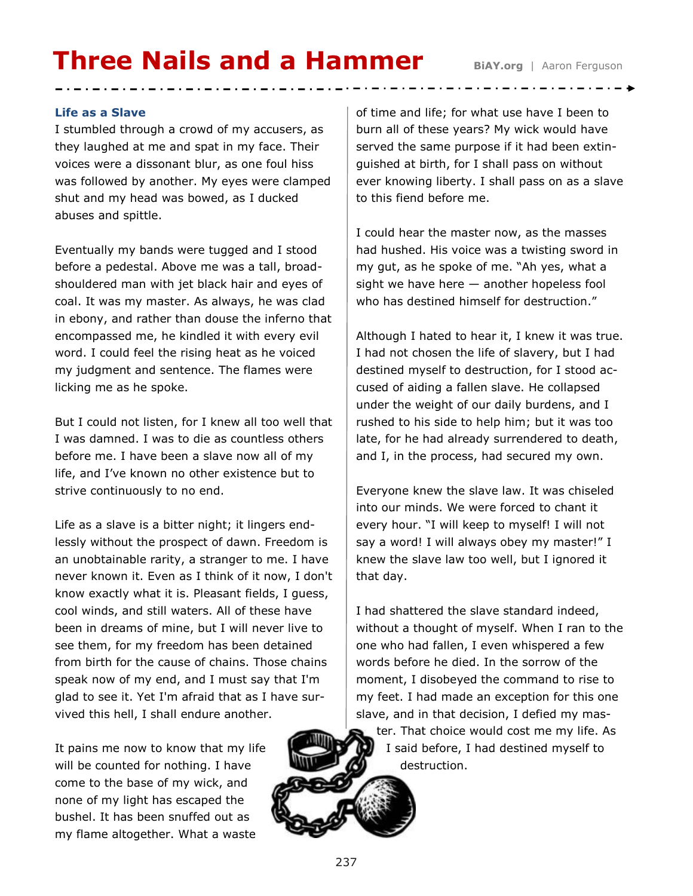# **Three Nails and a Hammer BiAY.org** | Aaron Ferguson

## **Life as a Slave**

I stumbled through a crowd of my accusers, as they laughed at me and spat in my face. Their voices were a dissonant blur, as one foul hiss was followed by another. My eyes were clamped shut and my head was bowed, as I ducked abuses and spittle.

Eventually my bands were tugged and I stood before a pedestal. Above me was a tall, broadshouldered man with jet black hair and eyes of coal. It was my master. As always, he was clad in ebony, and rather than douse the inferno that encompassed me, he kindled it with every evil word. I could feel the rising heat as he voiced my judgment and sentence. The flames were licking me as he spoke.

But I could not listen, for I knew all too well that I was damned. I was to die as countless others before me. I have been a slave now all of my life, and I've known no other existence but to strive continuously to no end.

Life as a slave is a bitter night; it lingers endlessly without the prospect of dawn. Freedom is an unobtainable rarity, a stranger to me. I have never known it. Even as I think of it now, I don't know exactly what it is. Pleasant fields, I guess, cool winds, and still waters. All of these have been in dreams of mine, but I will never live to see them, for my freedom has been detained from birth for the cause of chains. Those chains speak now of my end, and I must say that I'm glad to see it. Yet I'm afraid that as I have survived this hell, I shall endure another.

It pains me now to know that my life will be counted for nothing. I have come to the base of my wick, and none of my light has escaped the bushel. It has been snuffed out as my flame altogether. What a waste

of time and life; for what use have I been to burn all of these years? My wick would have served the same purpose if it had been extinguished at birth, for I shall pass on without ever knowing liberty. I shall pass on as a slave to this fiend before me.

I could hear the master now, as the masses had hushed. His voice was a twisting sword in my gut, as he spoke of me. "Ah yes, what a sight we have here — another hopeless fool who has destined himself for destruction."

Although I hated to hear it, I knew it was true. I had not chosen the life of slavery, but I had destined myself to destruction, for I stood accused of aiding a fallen slave. He collapsed under the weight of our daily burdens, and I rushed to his side to help him; but it was too late, for he had already surrendered to death, and I, in the process, had secured my own.

Everyone knew the slave law. It was chiseled into our minds. We were forced to chant it every hour. "I will keep to myself! I will not say a word! I will always obey my master!" I knew the slave law too well, but I ignored it that day.

I had shattered the slave standard indeed, without a thought of myself. When I ran to the one who had fallen, I even whispered a few words before he died. In the sorrow of the moment, I disobeyed the command to rise to my feet. I had made an exception for this one slave, and in that decision, I defied my master. That choice would cost me my life. As I said before, I had destined myself to destruction.

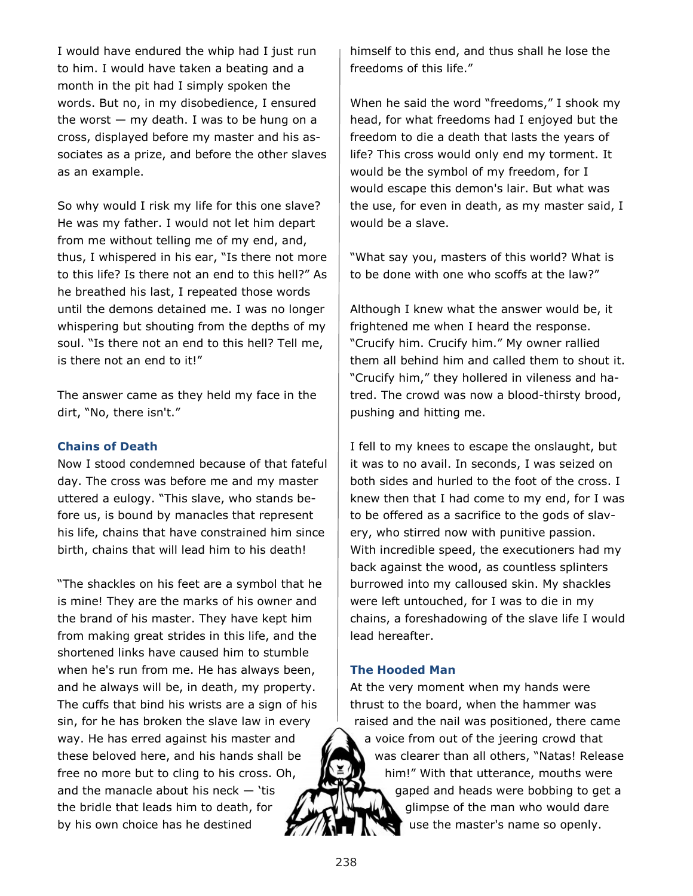I would have endured the whip had I just run to him. I would have taken a beating and a month in the pit had I simply spoken the words. But no, in my disobedience, I ensured the worst  $-$  my death. I was to be hung on a cross, displayed before my master and his associates as a prize, and before the other slaves as an example.

So why would I risk my life for this one slave? He was my father. I would not let him depart from me without telling me of my end, and, thus, I whispered in his ear, "Is there not more to this life? Is there not an end to this hell?" As he breathed his last, I repeated those words until the demons detained me. I was no longer whispering but shouting from the depths of my soul. "Is there not an end to this hell? Tell me, is there not an end to it!"

The answer came as they held my face in the dirt, "No, there isn't."

### **Chains of Death**

Now I stood condemned because of that fateful day. The cross was before me and my master uttered a eulogy. "This slave, who stands before us, is bound by manacles that represent his life, chains that have constrained him since birth, chains that will lead him to his death!

"The shackles on his feet are a symbol that he is mine! They are the marks of his owner and the brand of his master. They have kept him from making great strides in this life, and the shortened links have caused him to stumble when he's run from me. He has always been, and he always will be, in death, my property. The cuffs that bind his wrists are a sign of his sin, for he has broken the slave law in every way. He has erred against his master and these beloved here, and his hands shall be free no more but to cling to his cross. Oh, and the manacle about his neck  $-$  'tis the bridle that leads him to death, for by his own choice has he destined

himself to this end, and thus shall he lose the freedoms of this life."

When he said the word "freedoms," I shook my head, for what freedoms had I enjoyed but the freedom to die a death that lasts the years of life? This cross would only end my torment. It would be the symbol of my freedom, for I would escape this demon's lair. But what was the use, for even in death, as my master said, I would be a slave.

"What say you, masters of this world? What is to be done with one who scoffs at the law?"

Although I knew what the answer would be, it frightened me when I heard the response. "Crucify him. Crucify him." My owner rallied them all behind him and called them to shout it. "Crucify him," they hollered in vileness and hatred. The crowd was now a blood-thirsty brood, pushing and hitting me.

I fell to my knees to escape the onslaught, but it was to no avail. In seconds, I was seized on both sides and hurled to the foot of the cross. I knew then that I had come to my end, for I was to be offered as a sacrifice to the gods of slavery, who stirred now with punitive passion. With incredible speed, the executioners had my back against the wood, as countless splinters burrowed into my calloused skin. My shackles were left untouched, for I was to die in my chains, a foreshadowing of the slave life I would lead hereafter.

## **The Hooded Man**

At the very moment when my hands were thrust to the board, when the hammer was raised and the nail was positioned, there came a voice from out of the jeering crowd that was clearer than all others, "Natas! Release him!" With that utterance, mouths were gaped and heads were bobbing to get a glimpse of the man who would dare use the master's name so openly.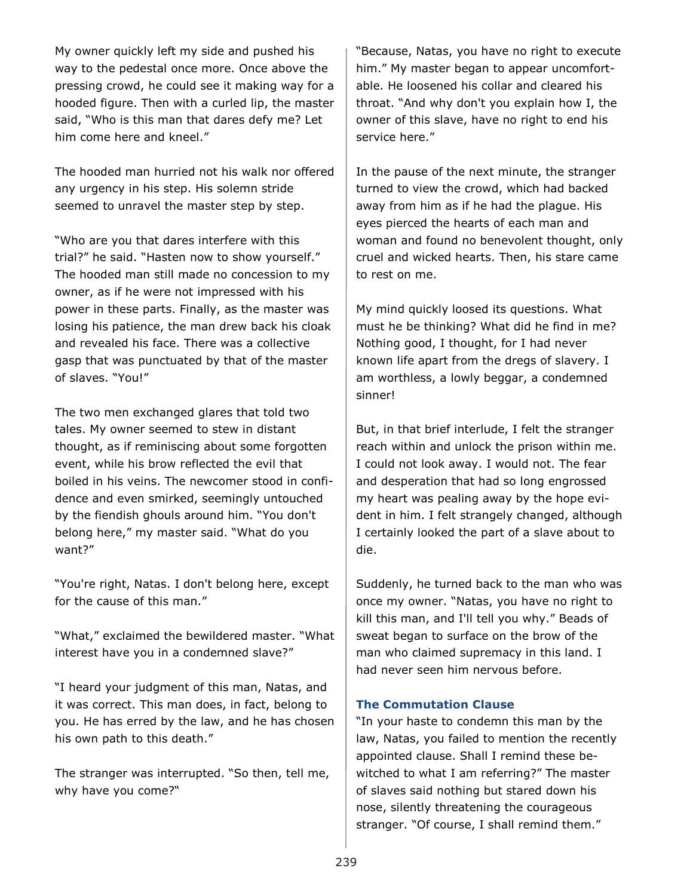My owner quickly left my side and pushed his way to the pedestal once more. Once above the pressing crowd, he could see it making way for a hooded figure. Then with a curled lip, the master said, "Who is this man that dares defy me? Let him come here and kneel."

The hooded man hurried not his walk nor offered any urgency in his step. His solemn stride seemed to unravel the master step by step.

"Who are you that dares interfere with this trial?" he said. "Hasten now to show yourself." The hooded man still made no concession to my owner, as if he were not impressed with his power in these parts. Finally, as the master was losing his patience, the man drew back his cloak and revealed his face. There was a collective gasp that was punctuated by that of the master of slaves. "You!"

The two men exchanged glares that told two tales. My owner seemed to stew in distant thought, as if reminiscing about some forgotten event, while his brow reflected the evil that boiled in his veins. The newcomer stood in confidence and even smirked, seemingly untouched by the fiendish ghouls around him. "You don't belong here," my master said. "What do you want?"

"You're right, Natas. I don't belong here, except for the cause of this man."

"What," exclaimed the bewildered master. "What interest have you in a condemned slave?"

"I heard your judgment of this man, Natas, and it was correct. This man does, in fact, belong to you. He has erred by the law, and he has chosen his own path to this death."

The stranger was interrupted. "So then, tell me, why have you come?"

"Because, Natas, you have no right to execute him." My master began to appear uncomfortable. He loosened his collar and cleared his throat. "And why don't you explain how I, the owner of this slave, have no right to end his service here."

In the pause of the next minute, the stranger turned to view the crowd, which had backed away from him as if he had the plague. His eyes pierced the hearts of each man and woman and found no benevolent thought, only cruel and wicked hearts. Then, his stare came to rest on me.

My mind quickly loosed its questions. What must he be thinking? What did he find in me? Nothing good, I thought, for I had never known life apart from the dregs of slavery. I am worthless, a lowly beggar, a condemned sinner!

But, in that brief interlude, I felt the stranger reach within and unlock the prison within me. I could not look away. I would not. The fear and desperation that had so long engrossed my heart was pealing away by the hope evident in him. I felt strangely changed, although I certainly looked the part of a slave about to die.

Suddenly, he turned back to the man who was once my owner. "Natas, you have no right to kill this man, and I'll tell you why." Beads of sweat began to surface on the brow of the man who claimed supremacy in this land. I had never seen him nervous before.

### **The Commutation Clause**

"In your haste to condemn this man by the law, Natas, you failed to mention the recently appointed clause. Shall I remind these bewitched to what I am referring?" The master of slaves said nothing but stared down his nose, silently threatening the courageous stranger. "Of course, I shall remind them."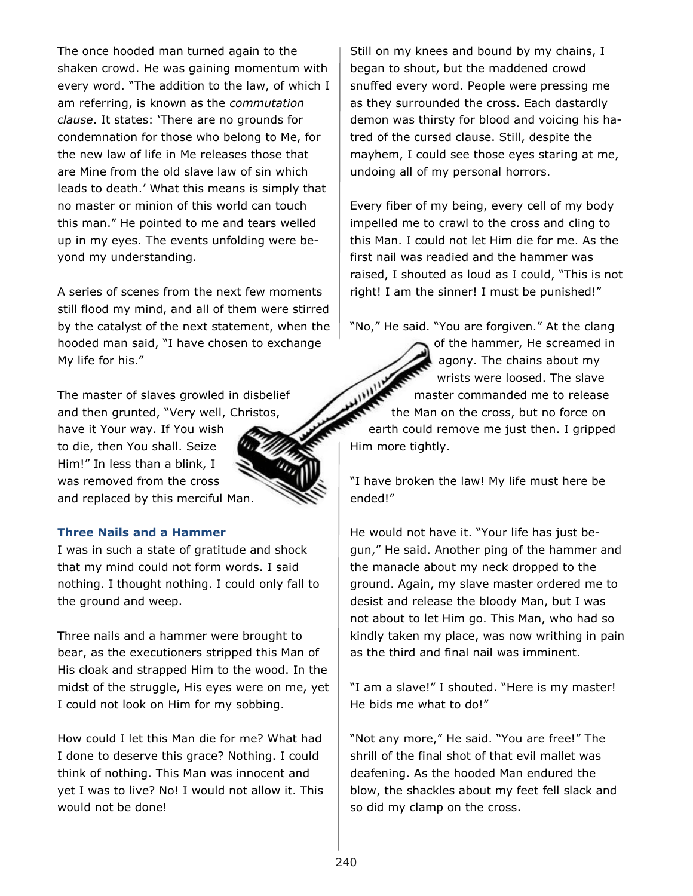The once hooded man turned again to the shaken crowd. He was gaining momentum with every word. "The addition to the law, of which I am referring, is known as the *commutation clause*. It states: 'There are no grounds for condemnation for those who belong to Me, for the new law of life in Me releases those that are Mine from the old slave law of sin which leads to death.' What this means is simply that no master or minion of this world can touch this man." He pointed to me and tears welled up in my eyes. The events unfolding were beyond my understanding.

A series of scenes from the next few moments still flood my mind, and all of them were stirred by the catalyst of the next statement, when the hooded man said, "I have chosen to exchange My life for his."

The master of slaves growled in disbelief and then grunted, "Very well, Christos, have it Your way. If You wish to die, then You shall. Seize Him!" In less than a blink, I was removed from the cross and replaced by this merciful Man.

## **Three Nails and a Hammer**

I was in such a state of gratitude and shock that my mind could not form words. I said nothing. I thought nothing. I could only fall to the ground and weep.

Three nails and a hammer were brought to bear, as the executioners stripped this Man of His cloak and strapped Him to the wood. In the midst of the struggle, His eyes were on me, yet I could not look on Him for my sobbing.

How could I let this Man die for me? What had I done to deserve this grace? Nothing. I could think of nothing. This Man was innocent and yet I was to live? No! I would not allow it. This would not be done!

Still on my knees and bound by my chains, I began to shout, but the maddened crowd snuffed every word. People were pressing me as they surrounded the cross. Each dastardly demon was thirsty for blood and voicing his hatred of the cursed clause. Still, despite the mayhem, I could see those eyes staring at me, undoing all of my personal horrors.

Every fiber of my being, every cell of my body impelled me to crawl to the cross and cling to this Man. I could not let Him die for me. As the first nail was readied and the hammer was raised, I shouted as loud as I could, "This is not right! I am the sinner! I must be punished!"

"No," He said. "You are forgiven." At the clang

of the hammer, He screamed in agony. The chains about my wrists were loosed. The slave master commanded me to release the Man on the cross, but no force on earth could remove me just then. I gripped Him more tightly.

"I have broken the law! My life must here be ended!"

He would not have it. "Your life has just begun," He said. Another ping of the hammer and the manacle about my neck dropped to the ground. Again, my slave master ordered me to desist and release the bloody Man, but I was not about to let Him go. This Man, who had so kindly taken my place, was now writhing in pain as the third and final nail was imminent.

"I am a slave!" I shouted. "Here is my master! He bids me what to do!"

"Not any more," He said. "You are free!" The shrill of the final shot of that evil mallet was deafening. As the hooded Man endured the blow, the shackles about my feet fell slack and so did my clamp on the cross.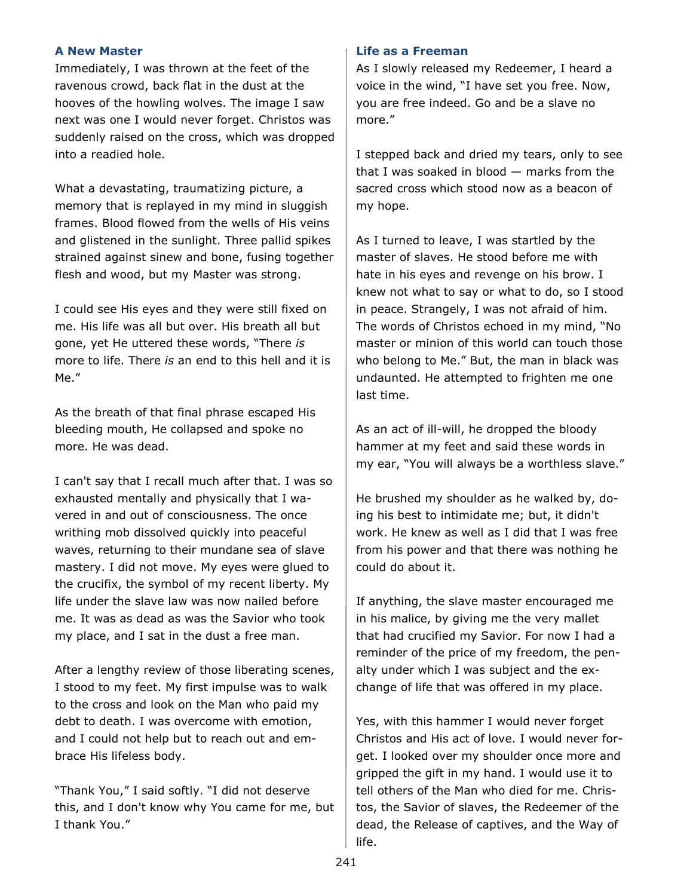## **A New Master**

Immediately, I was thrown at the feet of the ravenous crowd, back flat in the dust at the hooves of the howling wolves. The image I saw next was one I would never forget. Christos was suddenly raised on the cross, which was dropped into a readied hole.

What a devastating, traumatizing picture, a memory that is replayed in my mind in sluggish frames. Blood flowed from the wells of His veins and glistened in the sunlight. Three pallid spikes strained against sinew and bone, fusing together flesh and wood, but my Master was strong.

I could see His eyes and they were still fixed on me. His life was all but over. His breath all but gone, yet He uttered these words, "There *is* more to life. There *is* an end to this hell and it is Me."

As the breath of that final phrase escaped His bleeding mouth, He collapsed and spoke no more. He was dead.

I can't say that I recall much after that. I was so exhausted mentally and physically that I wavered in and out of consciousness. The once writhing mob dissolved quickly into peaceful waves, returning to their mundane sea of slave mastery. I did not move. My eyes were glued to the crucifix, the symbol of my recent liberty. My life under the slave law was now nailed before me. It was as dead as was the Savior who took my place, and I sat in the dust a free man.

After a lengthy review of those liberating scenes, I stood to my feet. My first impulse was to walk to the cross and look on the Man who paid my debt to death. I was overcome with emotion, and I could not help but to reach out and embrace His lifeless body.

"Thank You," I said softly. "I did not deserve this, and I don't know why You came for me, but I thank You."

#### **Life as a Freeman**

As I slowly released my Redeemer, I heard a voice in the wind, "I have set you free. Now, you are free indeed. Go and be a slave no more."

I stepped back and dried my tears, only to see that I was soaked in blood — marks from the sacred cross which stood now as a beacon of my hope.

As I turned to leave, I was startled by the master of slaves. He stood before me with hate in his eyes and revenge on his brow. I knew not what to say or what to do, so I stood in peace. Strangely, I was not afraid of him. The words of Christos echoed in my mind, "No master or minion of this world can touch those who belong to Me." But, the man in black was undaunted. He attempted to frighten me one last time.

As an act of ill-will, he dropped the bloody hammer at my feet and said these words in my ear, "You will always be a worthless slave."

He brushed my shoulder as he walked by, doing his best to intimidate me; but, it didn't work. He knew as well as I did that I was free from his power and that there was nothing he could do about it.

If anything, the slave master encouraged me in his malice, by giving me the very mallet that had crucified my Savior. For now I had a reminder of the price of my freedom, the penalty under which I was subject and the exchange of life that was offered in my place.

Yes, with this hammer I would never forget Christos and His act of love. I would never forget. I looked over my shoulder once more and gripped the gift in my hand. I would use it to tell others of the Man who died for me. Christos, the Savior of slaves, the Redeemer of the dead, the Release of captives, and the Way of life.